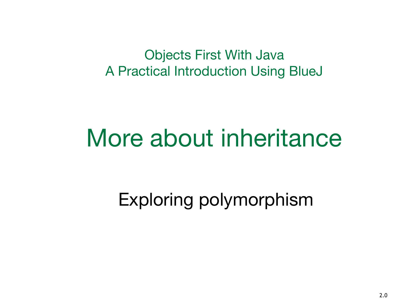Objects First With Java A Practical Introduction Using BlueJ

### More about inheritance

Exploring polymorphism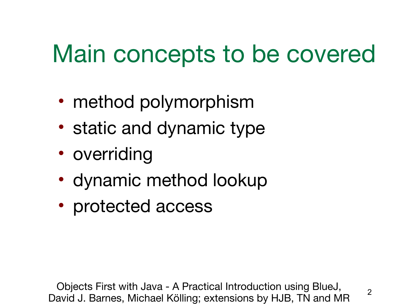## Main concepts to be covered

- method polymorphism
- static and dynamic type
- overriding
- dynamic method lookup
- protected access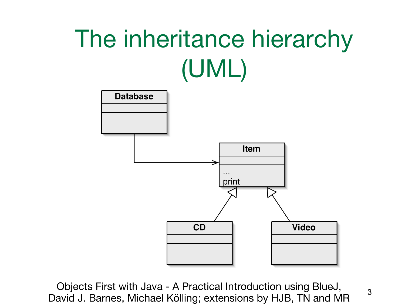# The inheritance hierarchy (UML)

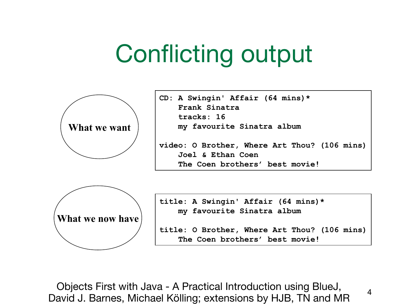## Conflicting output



**CD: A Swingin' Affair (64 mins)\* Frank Sinatra tracks: 16 my favourite Sinatra album**

**video: O Brother, Where Art Thou? (106 mins) Joel & Ethan Coen The Coen brothers' best movie!**



**title: A Swingin' Affair (64 mins)\* my favourite Sinatra album**

**title: O Brother, Where Art Thou? (106 mins) The Coen brothers' best movie!**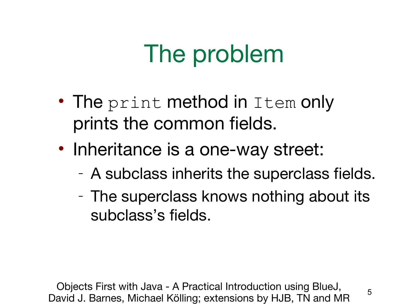## The problem

- The print method in Item only prints the common fields.
- Inheritance is a one-way street:
	- A subclass inherits the superclass fields.
	- The superclass knows nothing about its subclass's fields.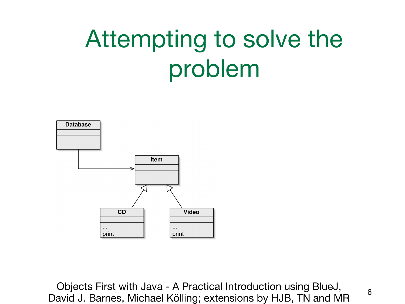# Attempting to solve the problem

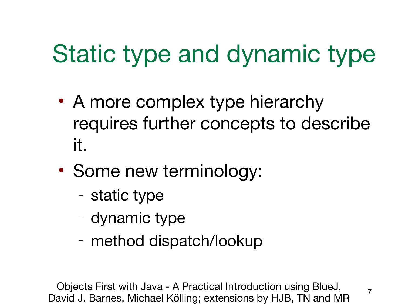## Static type and dynamic type

- A more complex type hierarchy requires further concepts to describe it.
- Some new terminology:
	- static type
	- dynamic type
	- method dispatch/lookup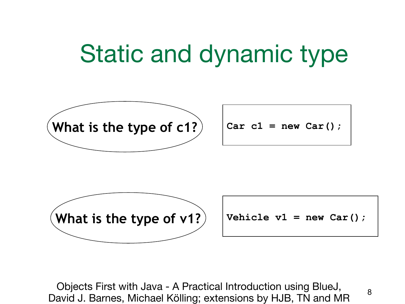#### Static and dynamic type

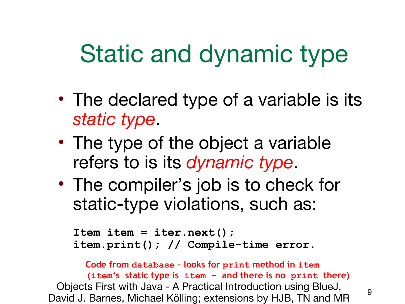## Static and dynamic type

- The declared type of a variable is its *static type*.
- The type of the object a variable refers to is its *dynamic type*.
- The compiler's job is to check for static-type violations, such as:

```
Item item = iter.next();
item.print(); // Compile-time error.
```
Objects First with Java - A Practical Introduction using BlueJ, David J. Barnes, Michael Kölling; extensions by HJB, TN and MR 9 **Code from database – looks for print method in item (item's static type is item – and there is no print there)**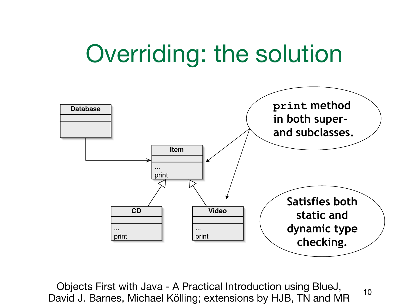### Overriding: the solution

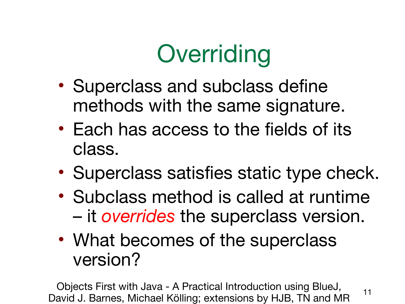

- Superclass and subclass define methods with the same signature.
- Each has access to the fields of its class.
- Superclass satisfies static type check.
- Subclass method is called at runtime – it *overrides* the superclass version.
- What becomes of the superclass version?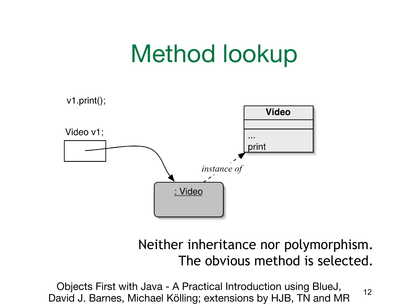## Method lookup



#### Neither inheritance nor polymorphism. The obvious method is selected.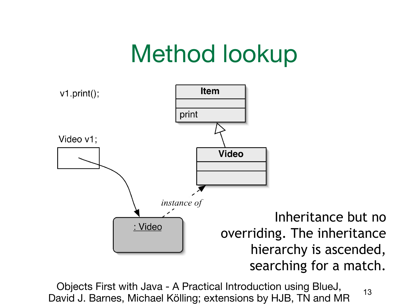## Method lookup

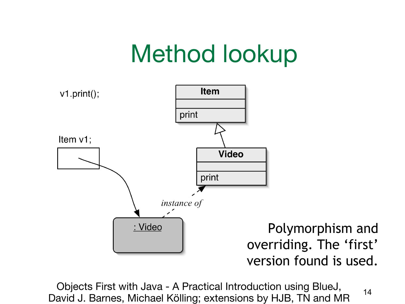## Method lookup

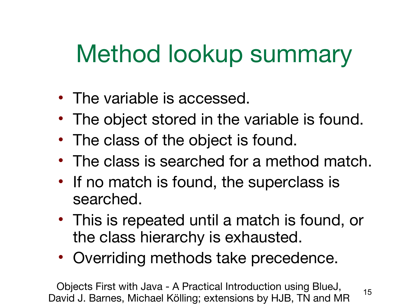## Method lookup summary

- The variable is accessed.
- The object stored in the variable is found.
- The class of the object is found.
- The class is searched for a method match.
- If no match is found, the superclass is searched.
- This is repeated until a match is found, or the class hierarchy is exhausted.
- Overriding methods take precedence.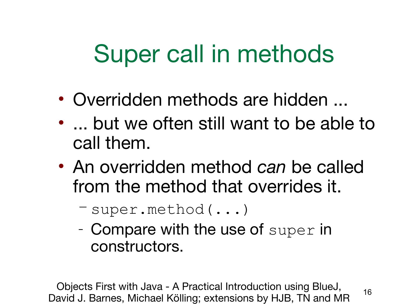## Super call in methods

- Overridden methods are hidden ...
- ... but we often still want to be able to call them.
- An overridden method *can* be called from the method that overrides it.

– super.method(...)

– Compare with the use of super in constructors.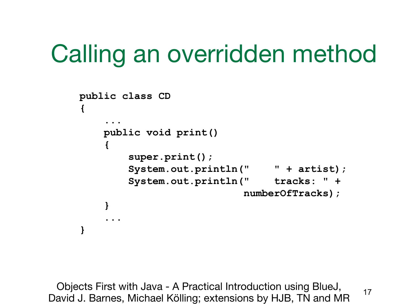## Calling an overridden method

```
public class CD
{
.....
     public void print()
 {
         super.print();
         System.out.println(" " + artist);
         System.out.println(" tracks: " +
                           numberOfTracks);
 }
.....
}
```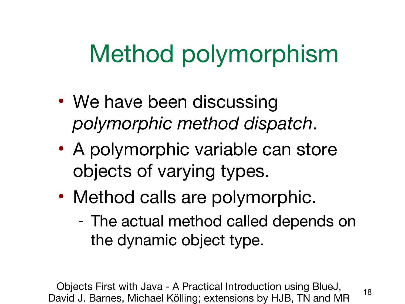## Method polymorphism

- We have been discussing *polymorphic method dispatch*.
- A polymorphic variable can store objects of varying types.
- Method calls are polymorphic.
	- The actual method called depends on the dynamic object type.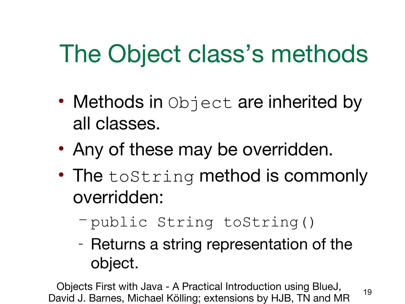## The Object class's methods

- Methods in Object are inherited by all classes.
- Any of these may be overridden.
- The toString method is commonly overridden:
	- public String toString()
	- Returns a string representation of the object.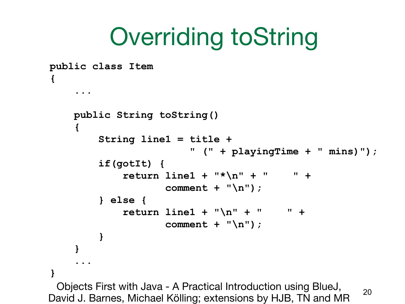## Overriding toString

```
Objects First with Java - A Practical Introduction using BlueJ, 
David J. Barnes, Michael Kölling; extensions by HJB, TN and MR 20
public class Item
{
.....
     public String toString()
     {
          String line1 = title +
                          " (" + playingTime + " mins)");
          if(gotIt) {
              return line1 + "*\n" + " " +
                      comment + "\n");
          } else {
              return line1 + "\n" + " " +
                      comment + "\n");
 }
 }
.....
}
```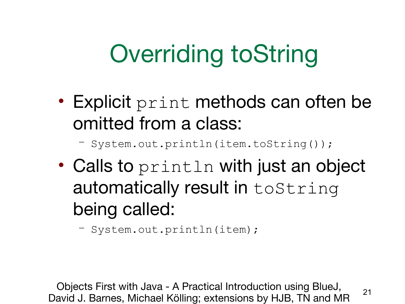# Overriding toString

• Explicit print methods can often be omitted from a class:

– System.out.println(item.toString());

• Calls to println with just an object automatically result in toString being called:

– System.out.println(item);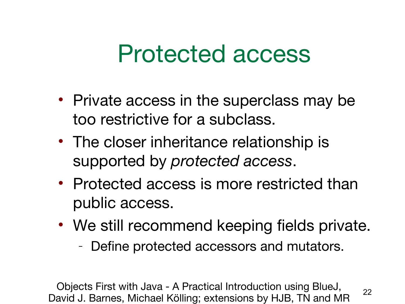#### Protected access

- Private access in the superclass may be too restrictive for a subclass.
- The closer inheritance relationship is supported by *protected access*.
- Protected access is more restricted than public access.
- We still recommend keeping fields private.
	- Define protected accessors and mutators.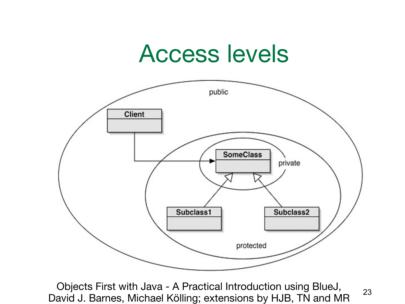#### Access levels